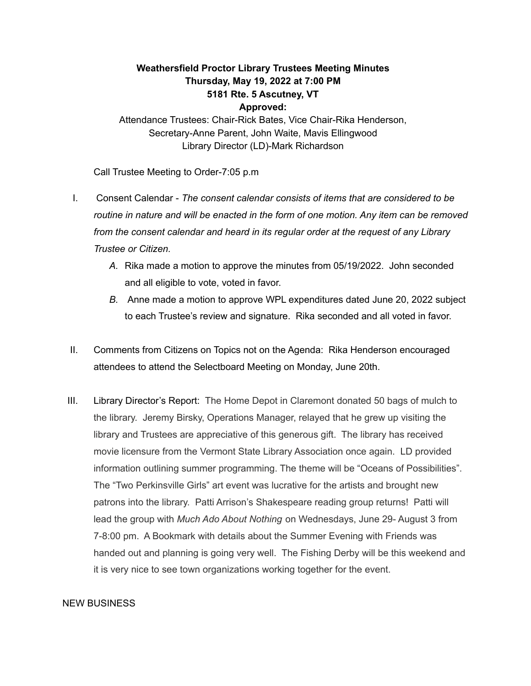## **Weathersfield Proctor Library Trustees Meeting Minutes Thursday, May 19, 2022 at 7:00 PM 5181 Rte. 5 Ascutney, VT Approved:**

Attendance Trustees: Chair-Rick Bates, Vice Chair-Rika Henderson, Secretary-Anne Parent, John Waite, Mavis Ellingwood Library Director (LD)-Mark Richardson

Call Trustee Meeting to Order-7:05 p.m

- I. Consent Calendar *The consent calendar consists of items that are considered to be routine in nature and will be enacted in the form of one motion. Any item can be removed from the consent calendar and heard in its regular order at the request of any Library Trustee or Citizen.*
	- *A.* Rika made a motion to approve the minutes from 05/19/2022. John seconded and all eligible to vote, voted in favor.
	- *B.* Anne made a motion to approve WPL expenditures dated June 20, 2022 subject to each Trustee's review and signature. Rika seconded and all voted in favor.
- II. Comments from Citizens on Topics not on the Agenda: Rika Henderson encouraged attendees to attend the Selectboard Meeting on Monday, June 20th.
- III. Library Director's Report: The Home Depot in Claremont donated 50 bags of mulch to the library. Jeremy Birsky, Operations Manager, relayed that he grew up visiting the library and Trustees are appreciative of this generous gift. The library has received movie licensure from the Vermont State Library Association once again. LD provided information outlining summer programming. The theme will be "Oceans of Possibilities". The "Two Perkinsville Girls" art event was lucrative for the artists and brought new patrons into the library. Patti Arrison's Shakespeare reading group returns! Patti will lead the group with *Much Ado About Nothing* on Wednesdays, June 29- August 3 from 7-8:00 pm. A Bookmark with details about the Summer Evening with Friends was handed out and planning is going very well. The Fishing Derby will be this weekend and it is very nice to see town organizations working together for the event.

## NEW BUSINESS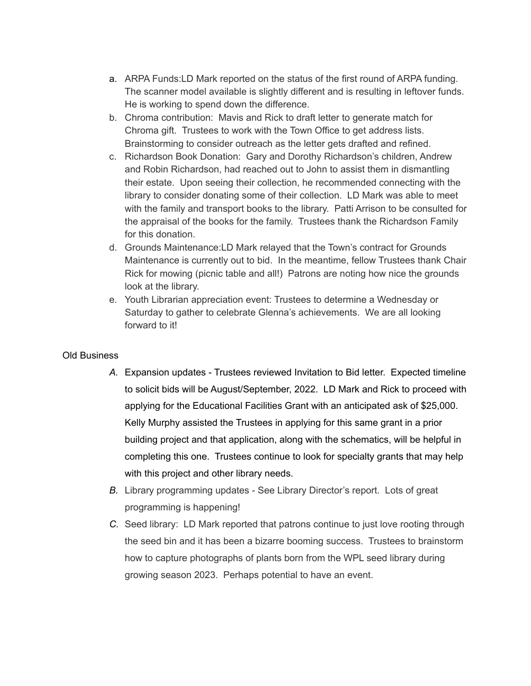- a. ARPA Funds:LD Mark reported on the status of the first round of ARPA funding. The scanner model available is slightly different and is resulting in leftover funds. He is working to spend down the difference.
- b. Chroma contribution: Mavis and Rick to draft letter to generate match for Chroma gift. Trustees to work with the Town Office to get address lists. Brainstorming to consider outreach as the letter gets drafted and refined.
- c. Richardson Book Donation: Gary and Dorothy Richardson's children, Andrew and Robin Richardson, had reached out to John to assist them in dismantling their estate. Upon seeing their collection, he recommended connecting with the library to consider donating some of their collection. LD Mark was able to meet with the family and transport books to the library. Patti Arrison to be consulted for the appraisal of the books for the family. Trustees thank the Richardson Family for this donation.
- d. Grounds Maintenance:LD Mark relayed that the Town's contract for Grounds Maintenance is currently out to bid. In the meantime, fellow Trustees thank Chair Rick for mowing (picnic table and all!) Patrons are noting how nice the grounds look at the library.
- e. Youth Librarian appreciation event: Trustees to determine a Wednesday or Saturday to gather to celebrate Glenna's achievements. We are all looking forward to it!

## Old Business

- *A.* Expansion updates Trustees reviewed Invitation to Bid letter. Expected timeline to solicit bids will be August/September, 2022. LD Mark and Rick to proceed with applying for the Educational Facilities Grant with an anticipated ask of \$25,000. Kelly Murphy assisted the Trustees in applying for this same grant in a prior building project and that application, along with the schematics, will be helpful in completing this one. Trustees continue to look for specialty grants that may help with this project and other library needs.
- *B.* Library programming updates See Library Director's report. Lots of great programming is happening!
- *C.* Seed library: LD Mark reported that patrons continue to just love rooting through the seed bin and it has been a bizarre booming success. Trustees to brainstorm how to capture photographs of plants born from the WPL seed library during growing season 2023. Perhaps potential to have an event.